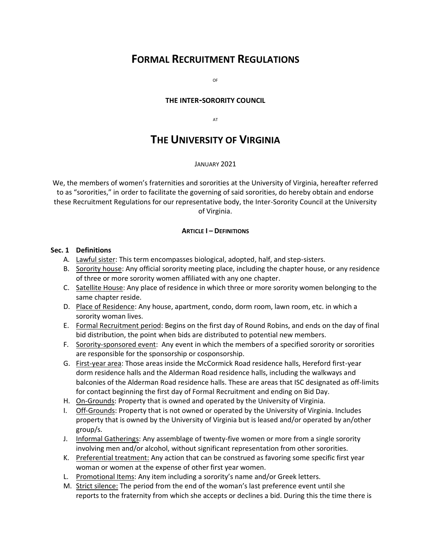# **FORMAL RECRUITMENT REGULATIONS**

OF

### **THE INTER-SORORITY COUNCIL**

AT

# **THE UNIVERSITY OF VIRGINIA**

#### JANUARY 2021

We, the members of women's fraternities and sororities at the University of Virginia, hereafter referred to as "sororities," in order to facilitate the governing of said sororities, do hereby obtain and endorse these Recruitment Regulations for our representative body, the Inter-Sorority Council at the University of Virginia.

#### **ARTICLE I – DEFINITIONS**

#### **Sec. 1 Definitions**

- A. Lawful sister: This term encompasses biological, adopted, half, and step-sisters.
- B. Sorority house: Any official sorority meeting place, including the chapter house, or any residence of three or more sorority women affiliated with any one chapter.
- C. Satellite House: Any place of residence in which three or more sorority women belonging to the same chapter reside.
- D. Place of Residence: Any house, apartment, condo, dorm room, lawn room, etc. in which a sorority woman lives.
- E. Formal Recruitment period: Begins on the first day of Round Robins, and ends on the day of final bid distribution, the point when bids are distributed to potential new members.
- F. Sorority-sponsored event: Any event in which the members of a specified sorority or sororities are responsible for the sponsorship or cosponsorship.
- G. First-year area: Those areas inside the McCormick Road residence halls, Hereford first-year dorm residence halls and the Alderman Road residence halls, including the walkways and balconies of the Alderman Road residence halls. These are areas that ISC designated as off-limits for contact beginning the first day of Formal Recruitment and ending on Bid Day.
- H. On-Grounds: Property that is owned and operated by the University of Virginia.
- I. Off-Grounds: Property that is not owned or operated by the University of Virginia. Includes property that is owned by the University of Virginia but is leased and/or operated by an/other group/s.
- J. Informal Gatherings: Any assemblage of twenty-five women or more from a single sorority involving men and/or alcohol, without significant representation from other sororities.
- K. Preferential treatment: Any action that can be construed as favoring some specific first year woman or women at the expense of other first year women.
- L. Promotional Items: Any item including a sorority's name and/or Greek letters.
- M. Strict silence: The period from the end of the woman's last preference event until she reports to the fraternity from which she accepts or declines a bid. During this the time there is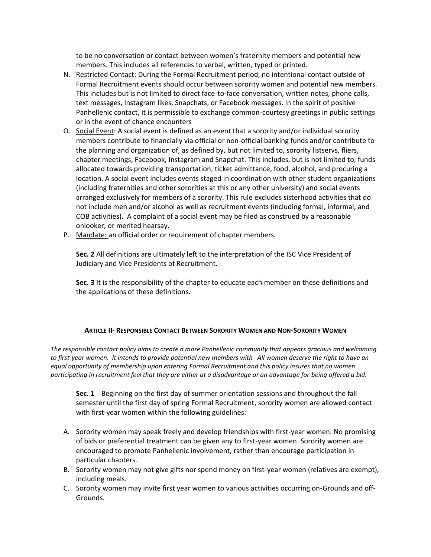to be no conversation or contact between women's fraternity members and potential new members. This includes all references to verbal, written, typed or printed.

- N. Restricted Contact: During the Formal Recruitment period, no intentional contact outside of Formal Recruitment events should occur between sorority women and potential new members. This includes but is not limited to direct face-to-face conversation, written notes, phone calls, text messages, Instagram likes, Snapchats, or Facebook messages. In the spirit of positive Panhellenic contact, it is permissible to exchange common-courtesy greetings in public settings or in the event of chance encounters
- O. Social Event: A social event is defined as an event that a sorority and/or individual sorority members contribute to financially via official or non-official banking funds and/or contribute to the planning and organization of, as defined by, but not limited to, sorority listservs, fliers, chapter meetings, Facebook, Instagram and Snapchat. This includes, but is not limited to, funds allocated towards providing transportation, ticket admittance, food, alcohol, and procuring a location. A social event includes events staged in coordination with other student organizations (including fraternities and other sororities at this or any other university) and social events arranged exclusively for members of a sorority. This rule excludes sisterhood activities that do not include men and/or alcohol as well as recruitment events (including formal, informal, and COB activities). A complaint of a social event may be filed as construed by a reasonable onlooker, or merited hearsay.
- P. Mandate: an official order or requirement of chapter members.

**Sec. 2** All definitions are ultimately left to the interpretation of the ISC Vice President of Judiciary and Vice Presidents of Recruitment.

**Sec. 3** It is the responsibility of the chapter to educate each member on these definitions and the applications of these definitions.

## **ARTICLE II- RESPONSIBLE CONTACT BETWEEN SORORITY WOMEN AND NON-SORORITY WOMEN**

*The responsible contact policy aims to create a more Panhellenic community that appears gracious and welcoming to first-year women. It intends to provide potential new members with All women deserve the right to have an equal opportunity of membership upon entering Formal Recruitment and this policy insures that no women participating in recruitment feel that they are either at a disadvantage or an advantage for being offered a bid.*

**Sec. 1** Beginning on the first day of summer orientation sessions and throughout the fall semester until the first day of spring Formal Recruitment, sorority women are allowed contact with first-year women within the following guidelines:

- A. Sorority women may speak freely and develop friendships with first-year women. No promising of bids or preferential treatment can be given any to first-year women. Sorority women are encouraged to promote Panhellenic involvement, rather than encourage participation in particular chapters.
- B. Sorority women may not give gifts nor spend money on first-year women (relatives are exempt), including meals.
- C. Sorority women may invite first year women to various activities occurring on-Grounds and off-Grounds.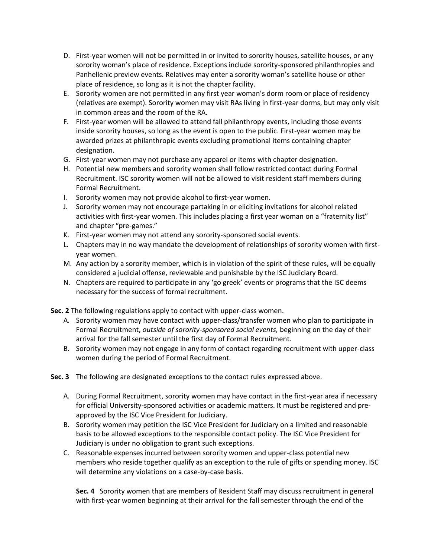- D. First-year women will not be permitted in or invited to sorority houses, satellite houses, or any sorority woman's place of residence. Exceptions include sorority-sponsored philanthropies and Panhellenic preview events. Relatives may enter a sorority woman's satellite house or other place of residence, so long as it is not the chapter facility.
- E. Sorority women are not permitted in any first year woman's dorm room or place of residency (relatives are exempt). Sorority women may visit RAs living in first-year dorms, but may only visit in common areas and the room of the RA.
- F. First-year women will be allowed to attend fall philanthropy events, including those events inside sorority houses, so long as the event is open to the public. First-year women may be awarded prizes at philanthropic events excluding promotional items containing chapter designation.
- G. First-year women may not purchase any apparel or items with chapter designation.
- H. Potential new members and sorority women shall follow restricted contact during Formal Recruitment. ISC sorority women will not be allowed to visit resident staff members during Formal Recruitment.
- I. Sorority women may not provide alcohol to first-year women.
- J. Sorority women may not encourage partaking in or eliciting invitations for alcohol related activities with first-year women. This includes placing a first year woman on a "fraternity list" and chapter "pre-games."
- K. First-year women may not attend any sorority-sponsored social events.
- L. Chapters may in no way mandate the development of relationships of sorority women with firstyear women.
- M. Any action by a sorority member, which is in violation of the spirit of these rules, will be equally considered a judicial offense, reviewable and punishable by the ISC Judiciary Board*.*
- N. Chapters are required to participate in any 'go greek' events or programs that the ISC deems necessary for the success of formal recruitment.

**Sec. 2** The following regulations apply to contact with upper-class women.

- A. Sorority women may have contact with upper-class/transfer women who plan to participate in Formal Recruitment, *outside of sorority-sponsored social events,* beginning on the day of their arrival for the fall semester until the first day of Formal Recruitment.
- B. Sorority women may not engage in any form of contact regarding recruitment with upper-class women during the period of Formal Recruitment.
- **Sec. 3** The following are designated exceptions to the contact rules expressed above.
	- A. During Formal Recruitment, sorority women may have contact in the first-year area if necessary for official University-sponsored activities or academic matters. It must be registered and preapproved by the ISC Vice President for Judiciary.
	- B. Sorority women may petition the ISC Vice President for Judiciary on a limited and reasonable basis to be allowed exceptions to the responsible contact policy. The ISC Vice President for Judiciary is under no obligation to grant such exceptions.
	- C. Reasonable expenses incurred between sorority women and upper-class potential new members who reside together qualify as an exception to the rule of gifts or spending money. ISC will determine any violations on a case-by-case basis.

**Sec. 4** Sorority women that are members of Resident Staff may discuss recruitment in general with first-year women beginning at their arrival for the fall semester through the end of the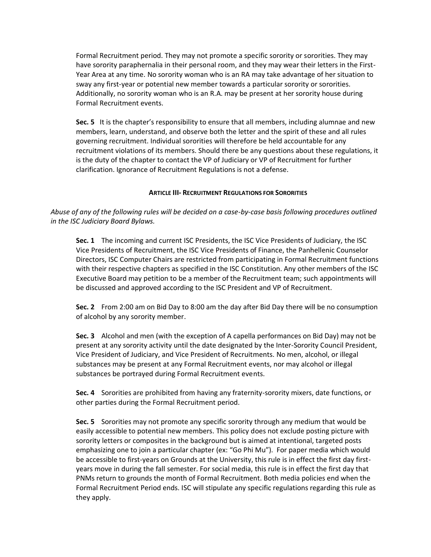Formal Recruitment period. They may not promote a specific sorority or sororities. They may have sorority paraphernalia in their personal room, and they may wear their letters in the First-Year Area at any time. No sorority woman who is an RA may take advantage of her situation to sway any first-year or potential new member towards a particular sorority or sororities. Additionally, no sorority woman who is an R.A. may be present at her sorority house during Formal Recruitment events.

**Sec. 5** It is the chapter's responsibility to ensure that all members, including alumnae and new members, learn, understand, and observe both the letter and the spirit of these and all rules governing recruitment. Individual sororities will therefore be held accountable for any recruitment violations of its members. Should there be any questions about these regulations, it is the duty of the chapter to contact the VP of Judiciary or VP of Recruitment for further clarification. Ignorance of Recruitment Regulations is not a defense.

## **ARTICLE III- RECRUITMENT REGULATIONS FOR SORORITIES**

*Abuse of any of the following rules will be decided on a case-by-case basis following procedures outlined in the ISC Judiciary Board Bylaws.* 

**Sec. 1** The incoming and current ISC Presidents, the ISC Vice Presidents of Judiciary, the ISC Vice Presidents of Recruitment, the ISC Vice Presidents of Finance, the Panhellenic Counselor Directors, ISC Computer Chairs are restricted from participating in Formal Recruitment functions with their respective chapters as specified in the ISC Constitution. Any other members of the ISC Executive Board may petition to be a member of the Recruitment team; such appointments will be discussed and approved according to the ISC President and VP of Recruitment.

**Sec. 2** From 2:00 am on Bid Day to 8:00 am the day after Bid Day there will be no consumption of alcohol by any sorority member.

**Sec. 3** Alcohol and men (with the exception of A capella performances on Bid Day) may not be present at any sorority activity until the date designated by the Inter-Sorority Council President, Vice President of Judiciary, and Vice President of Recruitments. No men, alcohol, or illegal substances may be present at any Formal Recruitment events, nor may alcohol or illegal substances be portrayed during Formal Recruitment events.

**Sec. 4** Sororities are prohibited from having any fraternity-sorority mixers, date functions, or other parties during the Formal Recruitment period.

**Sec. 5** Sororities may not promote any specific sorority through any medium that would be easily accessible to potential new members. This policy does not exclude posting picture with sorority letters or composites in the background but is aimed at intentional, targeted posts emphasizing one to join a particular chapter (ex: "Go Phi Mu"). For paper media which would be accessible to first-years on Grounds at the University, this rule is in effect the first day firstyears move in during the fall semester. For social media, this rule is in effect the first day that PNMs return to grounds the month of Formal Recruitment. Both media policies end when the Formal Recruitment Period ends. ISC will stipulate any specific regulations regarding this rule as they apply.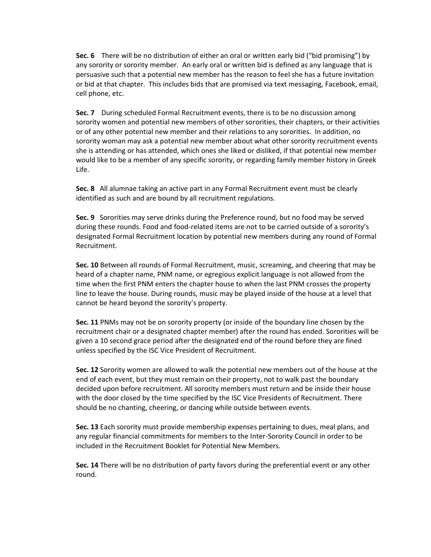**Sec. 6** There will be no distribution of either an oral or written early bid ("bid promising") by any sorority or sorority member. An early oral or written bid is defined as any language that is persuasive such that a potential new member has the reason to feel she has a future invitation or bid at that chapter. This includes bids that are promised via text messaging, Facebook, email, cell phone, etc.

**Sec. 7** During scheduled Formal Recruitment events, there is to be no discussion among sorority women and potential new members of other sororities, their chapters, or their activities or of any other potential new member and their relations to any sororities. In addition, no sorority woman may ask a potential new member about what other sorority recruitment events she is attending or has attended, which ones she liked or disliked, if that potential new member would like to be a member of any specific sorority, or regarding family member history in Greek Life.

**Sec. 8** All alumnae taking an active part in any Formal Recruitment event must be clearly identified as such and are bound by all recruitment regulations.

**Sec. 9** Sororities may serve drinks during the Preference round, but no food may be served during these rounds. Food and food-related items are not to be carried outside of a sorority's designated Formal Recruitment location by potential new members during any round of Formal Recruitment.

**Sec. 10** Between all rounds of Formal Recruitment, music, screaming, and cheering that may be heard of a chapter name, PNM name, or egregious explicit language is not allowed from the time when the first PNM enters the chapter house to when the last PNM crosses the property line to leave the house. During rounds, music may be played inside of the house at a level that cannot be heard beyond the sorority's property.

**Sec. 11** PNMs may not be on sorority property (or inside of the boundary line chosen by the recruitment chair or a designated chapter member) after the round has ended. Sororities will be given a 10 second grace period after the designated end of the round before they are fined unless specified by the ISC Vice President of Recruitment.

**Sec. 12** Sorority women are allowed to walk the potential new members out of the house at the end of each event, but they must remain on their property, not to walk past the boundary decided upon before recruitment. All sorority members must return and be inside their house with the door closed by the time specified by the ISC Vice Presidents of Recruitment. There should be no chanting, cheering, or dancing while outside between events.

**Sec. 13** Each sorority must provide membership expenses pertaining to dues, meal plans, and any regular financial commitments for members to the Inter-Sorority Council in order to be included in the Recruitment Booklet for Potential New Members.

**Sec. 14** There will be no distribution of party favors during the preferential event or any other round.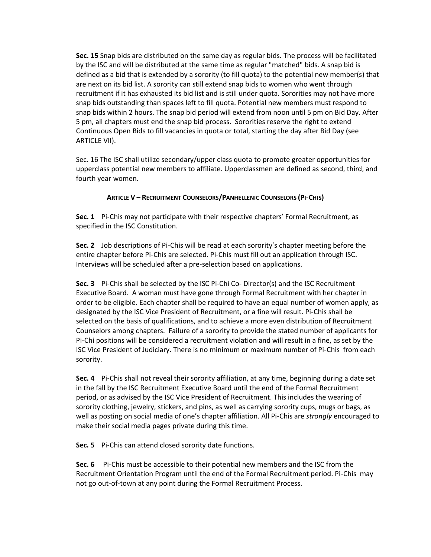**Sec. 15** Snap bids are distributed on the same day as regular bids. The process will be facilitated by the ISC and will be distributed at the same time as regular "matched" bids. A snap bid is defined as a bid that is extended by a sorority (to fill quota) to the potential new member(s) that are next on its bid list. A sorority can still extend snap bids to women who went through recruitment if it has exhausted its bid list and is still under quota. Sororities may not have more snap bids outstanding than spaces left to fill quota. Potential new members must respond to snap bids within 2 hours. The snap bid period will extend from noon until 5 pm on Bid Day. After 5 pm, all chapters must end the snap bid process. Sororities reserve the right to extend Continuous Open Bids to fill vacancies in quota or total, starting the day after Bid Day (see ARTICLE VII).

Sec. 16 The ISC shall utilize secondary/upper class quota to promote greater opportunities for upperclass potential new members to affiliate. Upperclassmen are defined as second, third, and fourth year women.

## **ARTICLE V – RECRUITMENT COUNSELORS/PANHELLENIC COUNSELORS (PI-CHIS)**

**Sec. 1** Pi-Chis may not participate with their respective chapters' Formal Recruitment, as specified in the ISC Constitution.

**Sec. 2** Job descriptions of Pi-Chis will be read at each sorority's chapter meeting before the entire chapter before Pi-Chis are selected. Pi-Chis must fill out an application through ISC. Interviews will be scheduled after a pre-selection based on applications.

**Sec. 3** Pi-Chis shall be selected by the ISC Pi-Chi Co- Director(s) and the ISC Recruitment Executive Board. A woman must have gone through Formal Recruitment with her chapter in order to be eligible. Each chapter shall be required to have an equal number of women apply, as designated by the ISC Vice President of Recruitment, or a fine will result. Pi-Chis shall be selected on the basis of qualifications, and to achieve a more even distribution of Recruitment Counselors among chapters. Failure of a sorority to provide the stated number of applicants for Pi-Chi positions will be considered a recruitment violation and will result in a fine, as set by the ISC Vice President of Judiciary. There is no minimum or maximum number of Pi-Chis from each sorority.

**Sec. 4** Pi-Chis shall not reveal their sorority affiliation, at any time, beginning during a date set in the fall by the ISC Recruitment Executive Board until the end of the Formal Recruitment period, or as advised by the ISC Vice President of Recruitment. This includes the wearing of sorority clothing, jewelry, stickers, and pins, as well as carrying sorority cups, mugs or bags, as well as posting on social media of one's chapter affiliation. All Pi-Chis are *strongly* encouraged to make their social media pages private during this time.

**Sec. 5** Pi-Chis can attend closed sorority date functions.

**Sec. 6** Pi-Chis must be accessible to their potential new members and the ISC from the Recruitment Orientation Program until the end of the Formal Recruitment period. Pi-Chis may not go out-of-town at any point during the Formal Recruitment Process.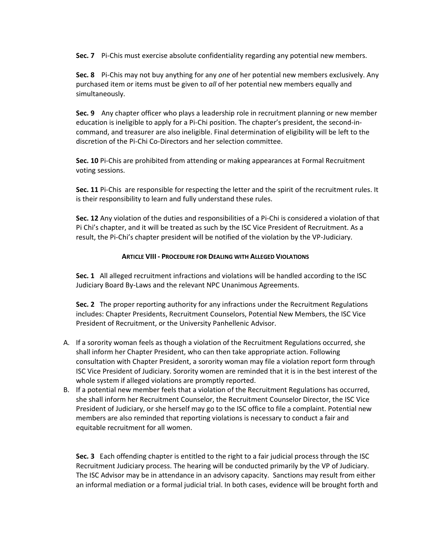**Sec. 7** Pi-Chis must exercise absolute confidentiality regarding any potential new members.

**Sec. 8** Pi-Chis may not buy anything for any *one* of her potential new members exclusively. Any purchased item or items must be given to *all* of her potential new members equally and simultaneously.

**Sec. 9** Any chapter officer who plays a leadership role in recruitment planning or new member education is ineligible to apply for a Pi-Chi position. The chapter's president, the second-incommand, and treasurer are also ineligible. Final determination of eligibility will be left to the discretion of the Pi-Chi Co-Directors and her selection committee.

**Sec. 10** Pi-Chis are prohibited from attending or making appearances at Formal Recruitment voting sessions.

**Sec. 11** Pi-Chis are responsible for respecting the letter and the spirit of the recruitment rules. It is their responsibility to learn and fully understand these rules.

**Sec. 12** Any violation of the duties and responsibilities of a Pi-Chi is considered a violation of that Pi Chi's chapter, and it will be treated as such by the ISC Vice President of Recruitment. As a result, the Pi-Chi's chapter president will be notified of the violation by the VP-Judiciary.

### **ARTICLE VIII - PROCEDURE FOR DEALING WITH ALLEGED VIOLATIONS**

**Sec. 1** All alleged recruitment infractions and violations will be handled according to the ISC Judiciary Board By-Laws and the relevant NPC Unanimous Agreements.

**Sec. 2** The proper reporting authority for any infractions under the Recruitment Regulations includes: Chapter Presidents, Recruitment Counselors, Potential New Members, the ISC Vice President of Recruitment, or the University Panhellenic Advisor.

- A. If a sorority woman feels as though a violation of the Recruitment Regulations occurred, she shall inform her Chapter President, who can then take appropriate action. Following consultation with Chapter President, a sorority woman may file a violation report form through ISC Vice President of Judiciary. Sorority women are reminded that it is in the best interest of the whole system if alleged violations are promptly reported.
- B. If a potential new member feels that a violation of the Recruitment Regulations has occurred, she shall inform her Recruitment Counselor, the Recruitment Counselor Director, the ISC Vice President of Judiciary, or she herself may go to the ISC office to file a complaint. Potential new members are also reminded that reporting violations is necessary to conduct a fair and equitable recruitment for all women.

**Sec. 3** Each offending chapter is entitled to the right to a fair judicial process through the ISC Recruitment Judiciary process. The hearing will be conducted primarily by the VP of Judiciary. The ISC Advisor may be in attendance in an advisory capacity. Sanctions may result from either an informal mediation or a formal judicial trial. In both cases, evidence will be brought forth and